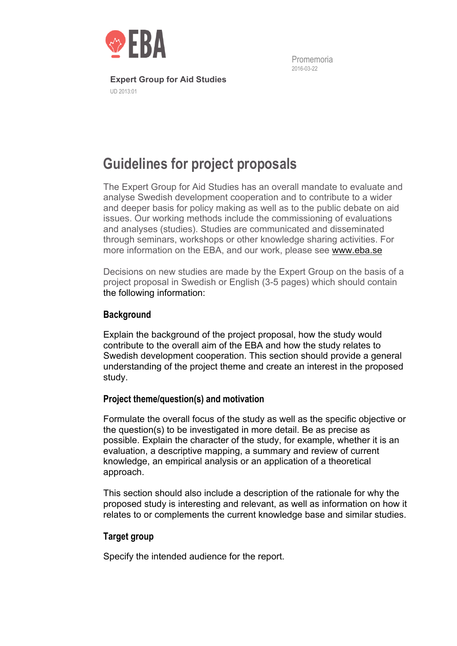

Promemoria 2016-03-22

**Expert Group for Aid Studies**  UD 2013:01

# **Guidelines for project proposals**

The Expert Group for Aid Studies has an overall mandate to evaluate and analyse Swedish development cooperation and to contribute to a wider and deeper basis for policy making as well as to the public debate on aid issues. Our working methods include the commissioning of evaluations and analyses (studies). Studies are communicated and disseminated through seminars, workshops or other knowledge sharing activities. For more information on the EBA, and our work, please see www.eba.se

Decisions on new studies are made by the Expert Group on the basis of a project proposal in Swedish or English (3-5 pages) which should contain the following information:

# **Background**

Explain the background of the project proposal, how the study would contribute to the overall aim of the EBA and how the study relates to Swedish development cooperation. This section should provide a general understanding of the project theme and create an interest in the proposed study.

## **Project theme/question(s) and motivation**

Formulate the overall focus of the study as well as the specific objective or the question(s) to be investigated in more detail. Be as precise as possible. Explain the character of the study, for example, whether it is an evaluation, a descriptive mapping, a summary and review of current knowledge, an empirical analysis or an application of a theoretical approach.

This section should also include a description of the rationale for why the proposed study is interesting and relevant, as well as information on how it relates to or complements the current knowledge base and similar studies.

## **Target group**

Specify the intended audience for the report.